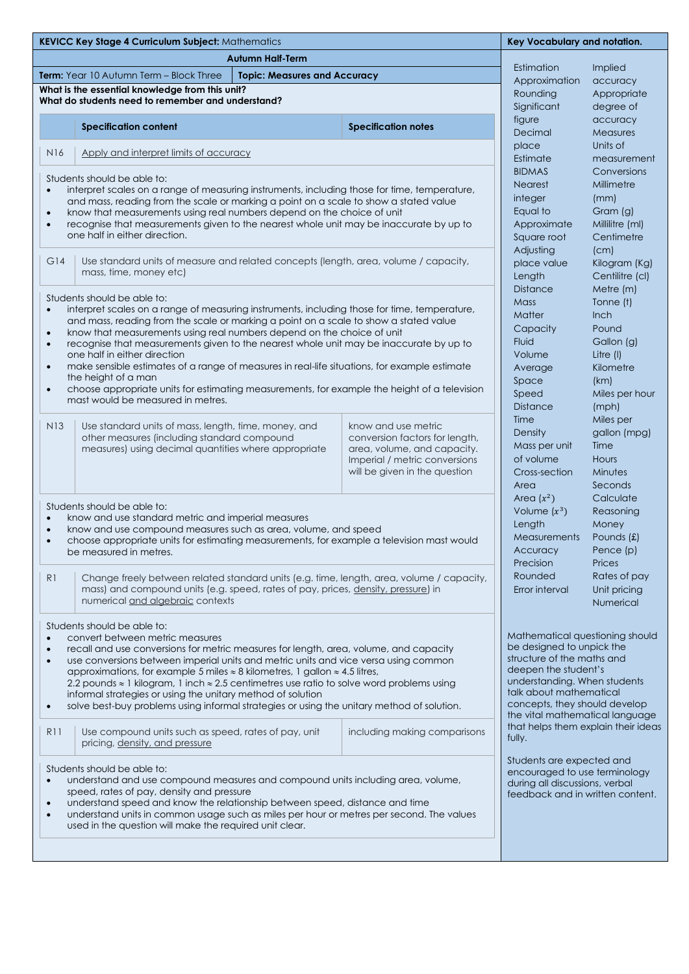|                                                                                                                                                                                                        | <b>KEVICC Key Stage 4 Curriculum Subject: Mathematics</b>                                                                                                        | Key Vocabulary and notation.                       |                                                                |                                                                        |                                  |  |
|--------------------------------------------------------------------------------------------------------------------------------------------------------------------------------------------------------|------------------------------------------------------------------------------------------------------------------------------------------------------------------|----------------------------------------------------|----------------------------------------------------------------|------------------------------------------------------------------------|----------------------------------|--|
|                                                                                                                                                                                                        | <b>Autumn Half-Term</b>                                                                                                                                          |                                                    |                                                                |                                                                        |                                  |  |
| Term: Year 10 Autumn Term - Block Three<br><b>Topic: Measures and Accuracy</b>                                                                                                                         |                                                                                                                                                                  |                                                    | Estimation                                                     | Implied                                                                |                                  |  |
|                                                                                                                                                                                                        | What is the essential knowledge from this unit?                                                                                                                  | Approximation<br>Rounding                          | accuracy<br>Appropriate                                        |                                                                        |                                  |  |
|                                                                                                                                                                                                        | What do students need to remember and understand?                                                                                                                |                                                    |                                                                | Significant                                                            | degree of                        |  |
|                                                                                                                                                                                                        |                                                                                                                                                                  |                                                    |                                                                | figure                                                                 | accuracy                         |  |
|                                                                                                                                                                                                        | <b>Specification content</b>                                                                                                                                     |                                                    | <b>Specification notes</b>                                     | Decimal                                                                | <b>Measures</b>                  |  |
|                                                                                                                                                                                                        |                                                                                                                                                                  |                                                    |                                                                | place                                                                  | Units of                         |  |
| <b>N16</b>                                                                                                                                                                                             | Apply and interpret limits of accuracy                                                                                                                           |                                                    |                                                                | Estimate                                                               | measurement                      |  |
|                                                                                                                                                                                                        |                                                                                                                                                                  | <b>BIDMAS</b>                                      | Conversions                                                    |                                                                        |                                  |  |
| $\bullet$                                                                                                                                                                                              | Students should be able to:<br>interpret scales on a range of measuring instruments, including those for time, temperature,                                      | <b>Nearest</b>                                     | Millimetre                                                     |                                                                        |                                  |  |
|                                                                                                                                                                                                        | and mass, reading from the scale or marking a point on a scale to show a stated value                                                                            | integer                                            | (mm)                                                           |                                                                        |                                  |  |
| $\bullet$                                                                                                                                                                                              | know that measurements using real numbers depend on the choice of unit                                                                                           | Equal to                                           | Gram (g)                                                       |                                                                        |                                  |  |
| $\bullet$                                                                                                                                                                                              | recognise that measurements given to the nearest whole unit may be inaccurate by up to                                                                           | Approximate                                        | Millilitre (ml)                                                |                                                                        |                                  |  |
|                                                                                                                                                                                                        | one half in either direction.                                                                                                                                    | Square root                                        | Centimetre                                                     |                                                                        |                                  |  |
| G14                                                                                                                                                                                                    | Use standard units of measure and related concepts (length, area, volume / capacity,<br>mass, time, money etc)                                                   |                                                    |                                                                | Adjusting                                                              | (cm)                             |  |
|                                                                                                                                                                                                        |                                                                                                                                                                  |                                                    |                                                                | Kilogram (Kg)<br>place value<br>Centilitre (cl)                        |                                  |  |
|                                                                                                                                                                                                        |                                                                                                                                                                  |                                                    |                                                                | Length<br><b>Distance</b>                                              | Metre (m)                        |  |
|                                                                                                                                                                                                        | Students should be able to:                                                                                                                                      |                                                    |                                                                | <b>Mass</b>                                                            | Tonne (t)                        |  |
| $\bullet$                                                                                                                                                                                              | interpret scales on a range of measuring instruments, including those for time, temperature,                                                                     |                                                    |                                                                | <b>Matter</b>                                                          | <b>Inch</b>                      |  |
|                                                                                                                                                                                                        | and mass, reading from the scale or marking a point on a scale to show a stated value                                                                            | Capacity                                           | Pound                                                          |                                                                        |                                  |  |
| $\bullet$<br>$\bullet$                                                                                                                                                                                 | know that measurements using real numbers depend on the choice of unit<br>recognise that measurements given to the nearest whole unit may be inaccurate by up to |                                                    |                                                                | <b>Fluid</b>                                                           | Gallon (g)                       |  |
|                                                                                                                                                                                                        | one half in either direction                                                                                                                                     | Volume                                             | Litre (I)                                                      |                                                                        |                                  |  |
| $\bullet$                                                                                                                                                                                              | make sensible estimates of a range of measures in real-life situations, for example estimate                                                                     |                                                    |                                                                | Average                                                                | Kilometre                        |  |
|                                                                                                                                                                                                        | the height of a man                                                                                                                                              | Space                                              | (km)                                                           |                                                                        |                                  |  |
| $\bullet$                                                                                                                                                                                              | choose appropriate units for estimating measurements, for example the height of a television<br>mast would be measured in metres.                                | Speed                                              | Miles per hour                                                 |                                                                        |                                  |  |
|                                                                                                                                                                                                        |                                                                                                                                                                  |                                                    |                                                                | <b>Distance</b>                                                        | (mph)                            |  |
| N <sub>13</sub>                                                                                                                                                                                        | Use standard units of mass, length, time, money, and                                                                                                             |                                                    | know and use metric                                            | Time                                                                   | Miles per                        |  |
|                                                                                                                                                                                                        | other measures (including standard compound                                                                                                                      |                                                    | conversion factors for length,                                 | Density                                                                | gallon (mpg)                     |  |
|                                                                                                                                                                                                        | measures) using decimal quantities where appropriate                                                                                                             |                                                    | area, volume, and capacity.                                    | Mass per unit                                                          | Time<br><b>Hours</b>             |  |
|                                                                                                                                                                                                        |                                                                                                                                                                  |                                                    | Imperial / metric conversions<br>will be given in the question | of volume<br>Cross-section                                             | Minutes                          |  |
|                                                                                                                                                                                                        |                                                                                                                                                                  |                                                    |                                                                | Area                                                                   | Seconds                          |  |
|                                                                                                                                                                                                        |                                                                                                                                                                  |                                                    |                                                                | Area $(x^2)$                                                           | Calculate                        |  |
|                                                                                                                                                                                                        | Students should be able to:                                                                                                                                      | Volume $(x^3)$                                     | Reasoning                                                      |                                                                        |                                  |  |
| $\bullet$                                                                                                                                                                                              | know and use standard metric and imperial measures<br>know and use compound measures such as area, volume, and speed                                             | Length                                             | Money                                                          |                                                                        |                                  |  |
| $\bullet$<br>$\bullet$                                                                                                                                                                                 | choose appropriate units for estimating measurements, for example a television mast would                                                                        | <b>Measurements</b>                                | Pounds (£)                                                     |                                                                        |                                  |  |
|                                                                                                                                                                                                        | be measured in metres.                                                                                                                                           | Accuracy                                           | Pence (p)                                                      |                                                                        |                                  |  |
|                                                                                                                                                                                                        |                                                                                                                                                                  |                                                    |                                                                | Precision                                                              | Prices                           |  |
| R <sub>1</sub>                                                                                                                                                                                         | Change freely between related standard units (e.g. time, length, area, volume / capacity,                                                                        |                                                    |                                                                | Rounded                                                                | Rates of pay                     |  |
|                                                                                                                                                                                                        | mass) and compound units (e.g. speed, rates of pay, prices, density, pressure) in                                                                                |                                                    |                                                                | Error interval                                                         | Unit pricing                     |  |
|                                                                                                                                                                                                        | numerical and algebraic contexts                                                                                                                                 |                                                    |                                                                |                                                                        | Numerical                        |  |
|                                                                                                                                                                                                        | Students should be able to:                                                                                                                                      |                                                    |                                                                |                                                                        |                                  |  |
| $\bullet$                                                                                                                                                                                              | convert between metric measures                                                                                                                                  | Mathematical questioning should                    |                                                                |                                                                        |                                  |  |
| $\bullet$                                                                                                                                                                                              | recall and use conversions for metric measures for length, area, volume, and capacity                                                                            | be designed to unpick the                          |                                                                |                                                                        |                                  |  |
| $\bullet$                                                                                                                                                                                              | use conversions between imperial units and metric units and vice versa using common                                                                              | structure of the maths and<br>deepen the student's |                                                                |                                                                        |                                  |  |
| approximations, for example 5 miles $\approx$ 8 kilometres, 1 gallon $\approx$ 4.5 litres,<br>2.2 pounds $\approx$ 1 kilogram, 1 inch $\approx$ 2.5 centimetres use ratio to solve word problems using |                                                                                                                                                                  |                                                    |                                                                |                                                                        | understanding. When students     |  |
|                                                                                                                                                                                                        | informal strategies or using the unitary method of solution                                                                                                      | talk about mathematical                            |                                                                |                                                                        |                                  |  |
| $\bullet$                                                                                                                                                                                              | solve best-buy problems using informal strategies or using the unitary method of solution.                                                                       | concepts, they should develop                      |                                                                |                                                                        |                                  |  |
|                                                                                                                                                                                                        |                                                                                                                                                                  |                                                    |                                                                | the vital mathematical language<br>that helps them explain their ideas |                                  |  |
| R11                                                                                                                                                                                                    | Use compound units such as speed, rates of pay, unit                                                                                                             |                                                    | including making comparisons                                   | fully.                                                                 |                                  |  |
|                                                                                                                                                                                                        | pricing, density, and pressure                                                                                                                                   |                                                    |                                                                |                                                                        |                                  |  |
| Students are expected and<br>Students should be able to:                                                                                                                                               |                                                                                                                                                                  |                                                    |                                                                |                                                                        |                                  |  |
| encouraged to use terminology<br>understand and use compound measures and compound units including area, volume,<br>$\bullet$<br>during all discussions, verbal                                        |                                                                                                                                                                  |                                                    |                                                                |                                                                        |                                  |  |
| speed, rates of pay, density and pressure                                                                                                                                                              |                                                                                                                                                                  |                                                    |                                                                |                                                                        | feedback and in written content. |  |
| understand speed and know the relationship between speed, distance and time<br>$\bullet$                                                                                                               |                                                                                                                                                                  |                                                    |                                                                |                                                                        |                                  |  |
| $\bullet$                                                                                                                                                                                              | understand units in common usage such as miles per hour or metres per second. The values<br>used in the question will make the required unit clear.              |                                                    |                                                                |                                                                        |                                  |  |
|                                                                                                                                                                                                        |                                                                                                                                                                  |                                                    |                                                                |                                                                        |                                  |  |
|                                                                                                                                                                                                        |                                                                                                                                                                  |                                                    |                                                                |                                                                        |                                  |  |